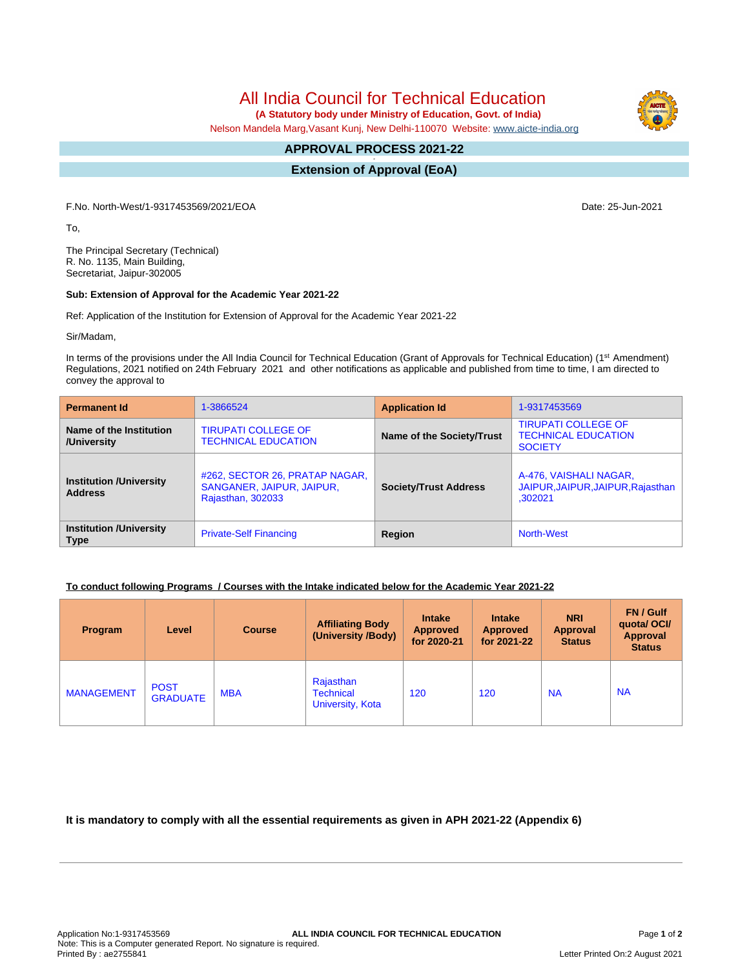All India Council for Technical Education

 **(A Statutory body under Ministry of Education, Govt. of India)**

Nelson Mandela Marg,Vasant Kunj, New Delhi-110070 Website: [www.aicte-india.org](http://www.aicte-india.org)

#### **APPROVAL PROCESS 2021-22 -**

**Extension of Approval (EoA)**

F.No. North-West/1-9317453569/2021/EOA Date: 25-Jun-2021

To,

The Principal Secretary (Technical) R. No. 1135, Main Building, Secretariat, Jaipur-302005

#### **Sub: Extension of Approval for the Academic Year 2021-22**

Ref: Application of the Institution for Extension of Approval for the Academic Year 2021-22

Sir/Madam,

In terms of the provisions under the All India Council for Technical Education (Grant of Approvals for Technical Education) (1<sup>st</sup> Amendment) Regulations, 2021 notified on 24th February 2021 and other notifications as applicable and published from time to time, I am directed to convey the approval to

| <b>Permanent Id</b>                              | 1-3866524                                                                               | <b>Application Id</b>        | 1-9317453569                                                               |  |
|--------------------------------------------------|-----------------------------------------------------------------------------------------|------------------------------|----------------------------------------------------------------------------|--|
| Name of the Institution<br>/University           | <b>TIRUPATI COLLEGE OF</b><br><b>TECHNICAL EDUCATION</b>                                | Name of the Society/Trust    | <b>TIRUPATI COLLEGE OF</b><br><b>TECHNICAL EDUCATION</b><br><b>SOCIETY</b> |  |
| <b>Institution /University</b><br><b>Address</b> | #262, SECTOR 26, PRATAP NAGAR,<br>SANGANER, JAIPUR, JAIPUR,<br><b>Rajasthan, 302033</b> | <b>Society/Trust Address</b> | A-476, VAISHALI NAGAR,<br>JAIPUR, JAIPUR, JAIPUR, Rajasthan<br>.302021     |  |
| <b>Institution /University</b><br><b>Type</b>    | <b>Private-Self Financing</b>                                                           | Region                       | <b>North-West</b>                                                          |  |

## **To conduct following Programs / Courses with the Intake indicated below for the Academic Year 2021-22**

| Program           | Level                          | <b>Course</b> | <b>Affiliating Body</b><br>(University /Body)     | <b>Intake</b><br><b>Approved</b><br>for 2020-21 | <b>Intake</b><br><b>Approved</b><br>for 2021-22 | <b>NRI</b><br>Approval<br><b>Status</b> | FN / Gulf<br>quotal OCI/<br>Approval<br><b>Status</b> |
|-------------------|--------------------------------|---------------|---------------------------------------------------|-------------------------------------------------|-------------------------------------------------|-----------------------------------------|-------------------------------------------------------|
| <b>MANAGEMENT</b> | <b>POST</b><br><b>GRADUATE</b> | <b>MBA</b>    | Rajasthan<br><b>Technical</b><br>University, Kota | 120                                             | 120                                             | <b>NA</b>                               | <b>NA</b>                                             |

## **It is mandatory to comply with all the essential requirements as given in APH 2021-22 (Appendix 6)**